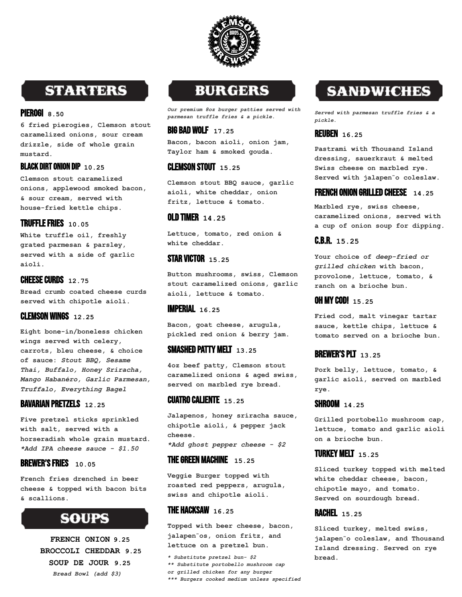

# **STARTERS**

#### PIEROGI **8.50**

**6 fried pierogies, Clemson stout caramelized onions, sour cream drizzle, side of whole grain mustard.**

#### BLACK DIRT ONION DIP **10.25**

**Clemson stout caramelized onions, applewood smoked bacon, & sour cream, served with house-fried kettle chips.**

#### TRUFFLEFRIES **10.05**

**White truffle oil, freshly grated parmesan & parsley, served with a side of garlic aioli.**

#### **CHEESE CURDS 12.75**

**Bread crumb coated cheese curds served with chipotle aioli.**

#### CLEMSON WINGS **12.25**

**Eight bone-in/boneless chicken wings served with celery, carrots, bleu cheese, & choice of sauce:** *Stout BBQ, Sesame Thai, Buffalo, Honey Sriracha, Mango Habanéro, Garlic Parmesan, Truffalo, Everything Bagel*

#### BAVARIAN PRETZELS **12.25**

**Five pretzel sticks sprinkled with salt, served with a horseradish whole grain mustard.** *\*Add IPA cheese sauce - \$1.50*

#### BREWER'SFRIES **10.05**

**French fries drenched in beer cheese & topped with bacon bits & scallions.**

# **SOUPS**

**FRENCH ONION 9.25 BROCCOLI CHEDDAR 9.25 SOUP DE JOUR 9.25** *Bread Bowl (add \$3)*

### **BURGERS**

*Our premium 8oz burger patties served with parmesan truffle fries & a pickle.*

#### BIG BAD WOLF **17.25**

**Bacon, bacon aioli, onion jam, Taylor ham & smoked gouda.**

#### CLEMSON STOUT **15.25**

**Clemson stout BBQ sauce, garlic aioli, white cheddar, onion fritz, lettuce & tomato.**

#### OLD TIMER **14.25**

**Lettuce, tomato, red onion & white cheddar.**

#### STAR VICTOR **15.25**

**Button mushrooms, swiss, Clemson stout caramelized onions, garlic aioli, lettuce & tomato.**

#### IMPERIAL **16.25**

**Bacon, goat cheese, arugula, pickled red onion & berry jam.**

#### SMASHED PATTY MELT **13.25**

**4oz beef patty, Clemson stout caramelized onions & aged swiss, served on marbled rye bread.**

#### CUATRO CALIENTE **15.25**

**Jalapenos, honey sriracha sauce, chipotle aioli, & pepper jack cheese.**

*\*Add ghost pepper cheese - \$2*

#### TheGreen Machine **15.25**

**Veggie Burger topped with roasted red peppers, arugula, swiss and chipotle aioli.**

#### THE HACKSAW **16.25**

**Topped with beer cheese, bacon, jalapen**̃**os, onion fritz, and lettuce on a pretzel bun.**

*\* Substitute pretzel bun- \$2 \*\* Substitute portobello mushroom cap or grilled chicken for any burger \*\*\* Burgers cooked medium unless specified*

# **SANDWICHES**

*Served with parmesan truffle fries & a pickle.*

#### REUBEN **16.25**

**Pastrami with Thousand Island dressing, sauerkraut & melted Swiss cheese on marbled rye. Served with jalapen**̃**o coleslaw.**

#### FRENCH ONION GRILLED CHEESE **14.25**

**Marbled rye, swiss cheese, caramelized onions, served with a cup of onion soup for dipping.**

#### C.B.R. **15.25**

**Your choice of** *deep-fried or grilled chicken* **with bacon, provolone, lettuce, tomato, & ranch on a brioche bun.**

#### OH MYCOD! **15.25**

**Fried cod, malt vinegar tartar sauce, kettle chips, lettuce & tomato served on a brioche bun.**

#### BREWER'SPLT **13.25**

**Pork belly, lettuce, tomato, & garlic aioli, served on marbled rye.**

#### shroom **14.25**

**Grilled portobello mushroom cap, lettuce, tomato and garlic aioli on a brioche bun.**

#### TURKEY MELT **15.25**

**Sliced turkey topped with melted white cheddar cheese, bacon, chipotle mayo, and tomato. Served on sourdough bread.**

#### RACHEL **15.25**

**Sliced turkey, melted swiss, jalapen**̃**o coleslaw, and Thousand Island dressing. Served on rye bread.**